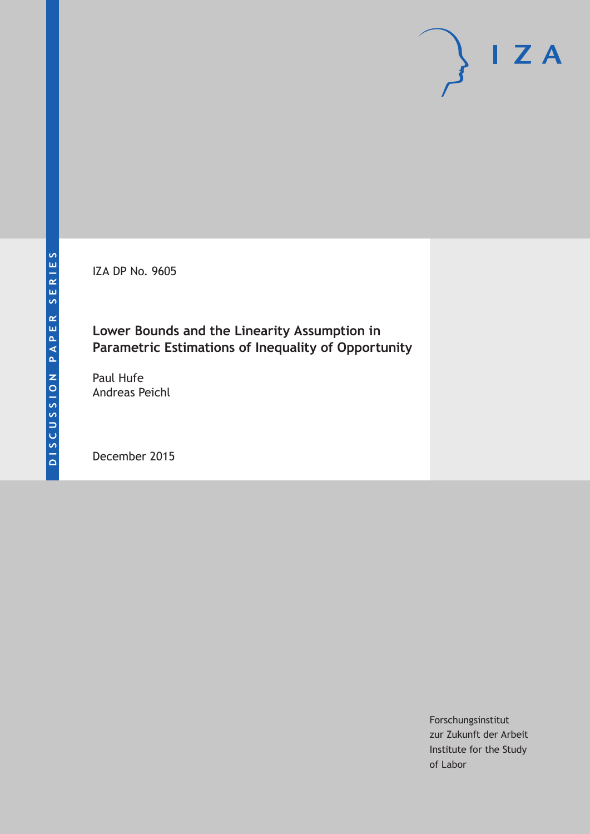IZA DP No. 9605

## **Lower Bounds and the Linearity Assumption in Parametric Estimations of Inequality of Opportunity**

Paul Hufe Andreas Peichl

December 2015

Forschungsinstitut zur Zukunft der Arbeit Institute for the Study of Labor

 $I Z A$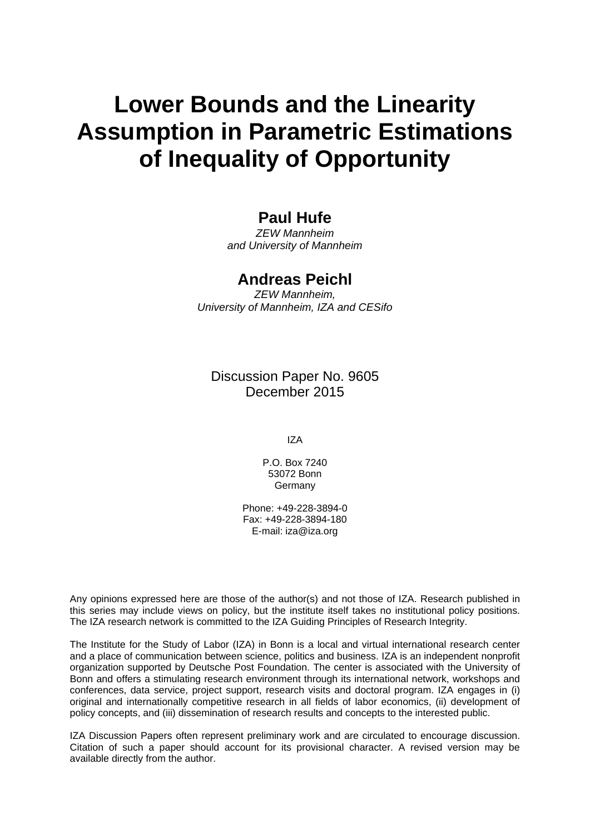# **Lower Bounds and the Linearity Assumption in Parametric Estimations of Inequality of Opportunity**

## **Paul Hufe**

*ZEW Mannheim and University of Mannheim* 

#### **Andreas Peichl**

*ZEW Mannheim, University of Mannheim, IZA and CESifo* 

Discussion Paper No. 9605 December 2015

IZA

P.O. Box 7240 53072 Bonn **Germany** 

Phone: +49-228-3894-0 Fax: +49-228-3894-180 E-mail: iza@iza.org

Any opinions expressed here are those of the author(s) and not those of IZA. Research published in this series may include views on policy, but the institute itself takes no institutional policy positions. The IZA research network is committed to the IZA Guiding Principles of Research Integrity.

The Institute for the Study of Labor (IZA) in Bonn is a local and virtual international research center and a place of communication between science, politics and business. IZA is an independent nonprofit organization supported by Deutsche Post Foundation. The center is associated with the University of Bonn and offers a stimulating research environment through its international network, workshops and conferences, data service, project support, research visits and doctoral program. IZA engages in (i) original and internationally competitive research in all fields of labor economics, (ii) development of policy concepts, and (iii) dissemination of research results and concepts to the interested public.

IZA Discussion Papers often represent preliminary work and are circulated to encourage discussion. Citation of such a paper should account for its provisional character. A revised version may be available directly from the author.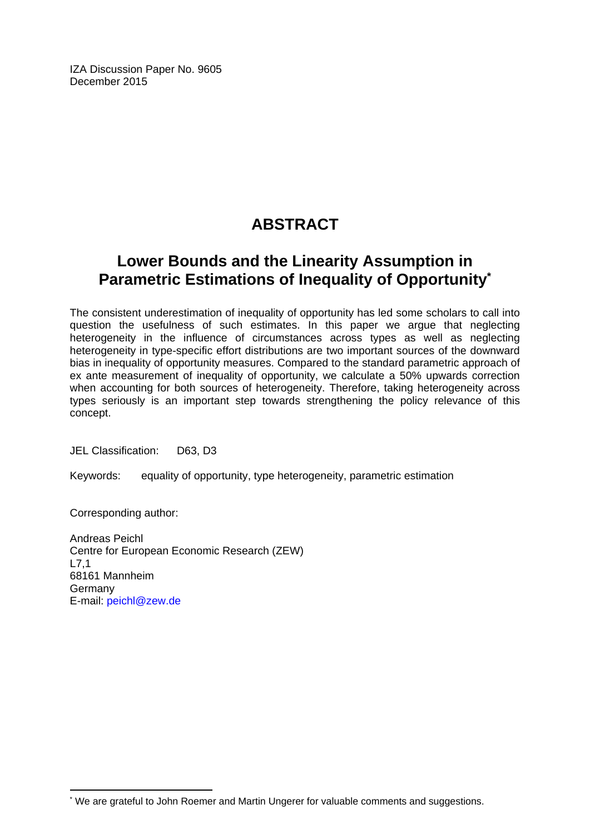IZA Discussion Paper No. 9605 December 2015

## **ABSTRACT**

## **Lower Bounds and the Linearity Assumption in Parametric Estimations of Inequality of Opportunity\***

The consistent underestimation of inequality of opportunity has led some scholars to call into question the usefulness of such estimates. In this paper we argue that neglecting heterogeneity in the influence of circumstances across types as well as neglecting heterogeneity in type-specific effort distributions are two important sources of the downward bias in inequality of opportunity measures. Compared to the standard parametric approach of ex ante measurement of inequality of opportunity, we calculate a 50% upwards correction when accounting for both sources of heterogeneity. Therefore, taking heterogeneity across types seriously is an important step towards strengthening the policy relevance of this concept.

JEL Classification: D63, D3

Keywords: equality of opportunity, type heterogeneity, parametric estimation

Corresponding author:

 $\overline{\phantom{a}}$ 

Andreas Peichl Centre for European Economic Research (ZEW) L7,1 68161 Mannheim Germany E-mail: peichl@zew.de

<sup>\*</sup> We are grateful to John Roemer and Martin Ungerer for valuable comments and suggestions.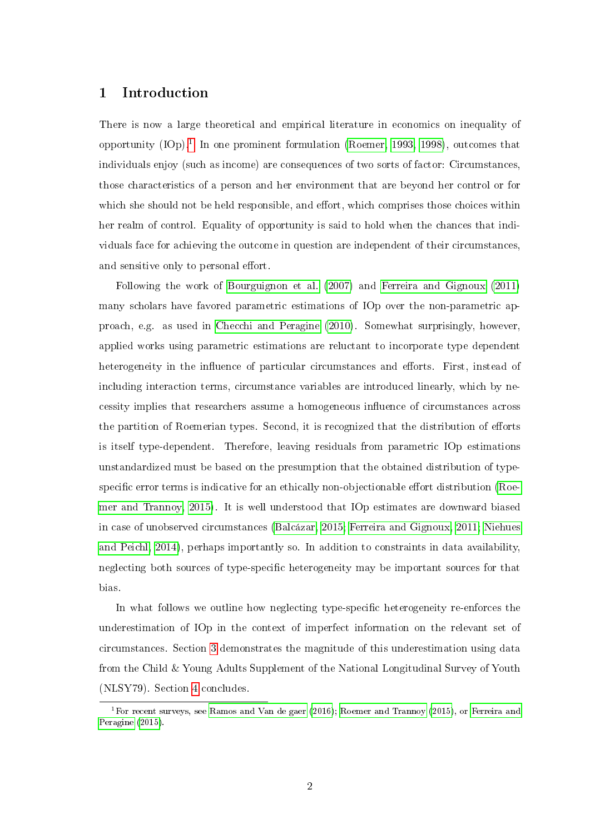#### 1 Introduction

There is now a large theoretical and empirical literature in economics on inequality of opportunity  $(IOp).<sup>1</sup>$  $(IOp).<sup>1</sup>$  $(IOp).<sup>1</sup>$  In one prominent formulation [\(Roemer, 1993,](#page-11-0) [1998\)](#page-11-1), outcomes that individuals enjoy (such as income) are consequences of two sorts of factor: Circumstances, those characteristics of a person and her environment that are beyond her control or for which she should not be held responsible, and effort, which comprises those choices within her realm of control. Equality of opportunity is said to hold when the chances that individuals face for achieving the outcome in question are independent of their circumstances, and sensitive only to personal effort.

Following the work of [Bourguignon et al.](#page-10-0) [\(2007\)](#page-10-0) and [Ferreira and Gignoux](#page-11-2) [\(2011\)](#page-11-2) many scholars have favored parametric estimations of IOp over the non-parametric approach, e.g. as used in [Checchi and Peragine](#page-10-1) [\(2010\)](#page-10-1). Somewhat surprisingly, however, applied works using parametric estimations are reluctant to incorporate type dependent heterogeneity in the influence of particular circumstances and efforts. First, instead of including interaction terms, circumstance variables are introduced linearly, which by necessity implies that researchers assume a homogeneous influence of circumstances across the partition of Roemerian types. Second, it is recognized that the distribution of efforts is itself type-dependent. Therefore, leaving residuals from parametric IOp estimations unstandardized must be based on the presumption that the obtained distribution of type-specific error terms is indicative for an ethically non-objectionable effort distribution [\(Roe](#page-11-3)[mer and Trannoy, 2015\)](#page-11-3). It is well understood that IOp estimates are downward biased in case of unobserved circumstances [\(Balcázar, 2015;](#page-10-2) [Ferreira and Gignoux, 2011;](#page-11-2) [Niehues](#page-11-4) [and Peichl, 2014\)](#page-11-4), perhaps importantly so. In addition to constraints in data availability, neglecting both sources of type-specific heterogeneity may be important sources for that bias.

In what follows we outline how neglecting type-specific heterogeneity re-enforces the underestimation of IOp in the context of imperfect information on the relevant set of circumstances. Section [3](#page-6-0) demonstrates the magnitude of this underestimation using data from the Child & Young Adults Supplement of the National Longitudinal Survey of Youth (NLSY79). Section [4](#page-10-3) concludes.

<sup>&</sup>lt;sup>1</sup>For recent surveys, see [Ramos and Van de gaer](#page-11-5) [\(2016\)](#page-11-5); [Roemer and Trannoy](#page-11-3) [\(2015\)](#page-11-3), or [Ferreira and](#page-11-6) [Peragine](#page-11-6) [\(2015\)](#page-11-6).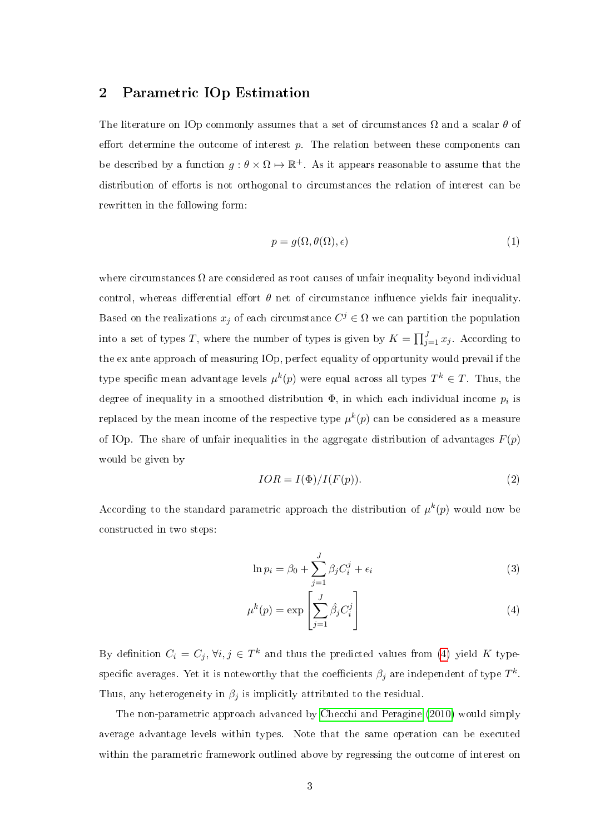#### 2 Parametric IOp Estimation

The literature on IOp commonly assumes that a set of circumstances  $\Omega$  and a scalar  $\theta$  of effort determine the outcome of interest  $p$ . The relation between these components can be described by a function  $g: \theta \times \Omega \mapsto \mathbb{R}^+$ . As it appears reasonable to assume that the distribution of efforts is not orthogonal to circumstances the relation of interest can be rewritten in the following form:

<span id="page-4-2"></span>
$$
p = g(\Omega, \theta(\Omega), \epsilon) \tag{1}
$$

where circumstances  $\Omega$  are considered as root causes of unfair inequality beyond individual control, whereas differential effort  $\theta$  net of circumstance influence yields fair inequality. Based on the realizations  $x_j$  of each circumstance  $C^j \in \Omega$  we can partition the population into a set of types T, where the number of types is given by  $K = \prod_{j=1}^{J} x_j$ . According to the ex ante approach of measuring IOp, perfect equality of opportunity would prevail if the type specific mean advantage levels  $\mu^k(p)$  were equal across all types  $T^k \in T$ . Thus, the degree of inequality in a smoothed distribution  $\Phi$ , in which each individual income  $p_i$  is replaced by the mean income of the respective type  $\mu^k(p)$  can be considered as a measure of IOp. The share of unfair inequalities in the aggregate distribution of advantages  $F(p)$ would be given by

$$
IOR = I(\Phi) / I(F(p)).
$$
\n<sup>(2)</sup>

According to the standard parametric approach the distribution of  $\mu^{k}(p)$  would now be constructed in two steps:

<span id="page-4-1"></span><span id="page-4-0"></span>
$$
\ln p_i = \beta_0 + \sum_{j=1}^{J} \beta_j C_i^j + \epsilon_i \tag{3}
$$

$$
\mu^{k}(p) = \exp\left[\sum_{j=1}^{J} \hat{\beta}_{j} C_{i}^{j}\right]
$$
\n(4)

By definition  $C_i = C_j, \forall i, j \in T^k$  and thus the predicted values from [\(4\)](#page-4-0) yield K typespecific averages. Yet it is noteworthy that the coefficients  $\beta_j$  are independent of type  $T^k$ . Thus, any heterogeneity in  $\beta_i$  is implicitly attributed to the residual.

The non-parametric approach advanced by [Checchi and Peragine](#page-10-1) [\(2010\)](#page-10-1) would simply average advantage levels within types. Note that the same operation can be executed within the parametric framework outlined above by regressing the outcome of interest on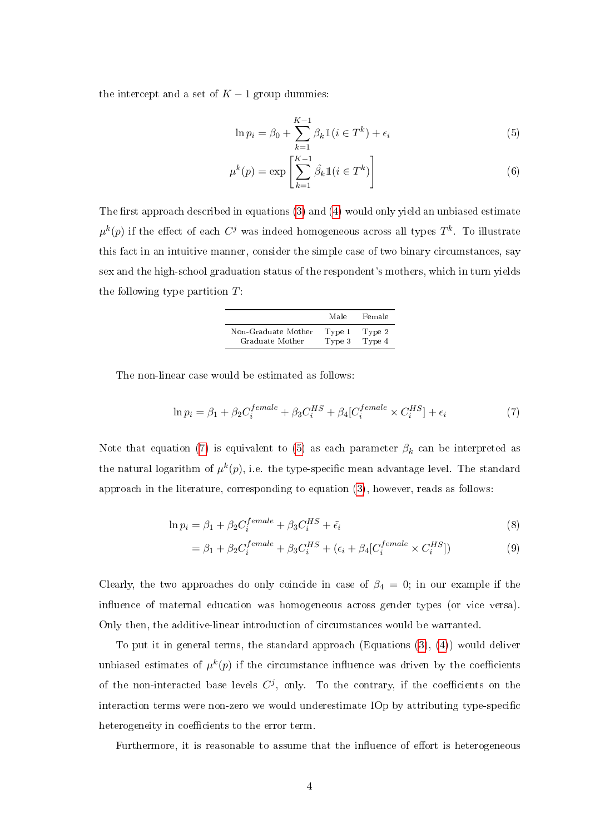the intercept and a set of  $K-1$  group dummies:

<span id="page-5-2"></span><span id="page-5-1"></span>
$$
\ln p_i = \beta_0 + \sum_{k=1}^{K-1} \beta_k \mathbb{1}(i \in T^k) + \epsilon_i
$$
\n(5)

$$
\mu^{k}(p) = \exp\left[\sum_{k=1}^{K-1} \hat{\beta}_{k} \mathbb{1}(i \in T^{k})\right]
$$
\n(6)

The first approach described in equations  $(3)$  and  $(4)$  would only yield an unbiased estimate  $\mu^k(p)$  if the effect of each  $C^j$  was indeed homogeneous across all types  $T^k$ . To illustrate this fact in an intuitive manner, consider the simple case of two binary circumstances, say sex and the high-school graduation status of the respondent's mothers, which in turn yields the following type partition  $T$ :

<span id="page-5-0"></span>

|                     | Male   | Female |
|---------------------|--------|--------|
| Non-Graduate Mother | Type 1 | Type 2 |
| Graduate Mother     | Type 3 | Type 4 |

The non-linear case would be estimated as follows:

$$
\ln p_i = \beta_1 + \beta_2 C_i^{female} + \beta_3 C_i^{HS} + \beta_4 [C_i^{female} \times C_i^{HS}] + \epsilon_i
$$
\n(7)

Note that equation [\(7\)](#page-5-0) is equivalent to [\(5\)](#page-5-1) as each parameter  $\beta_k$  can be interpreted as the natural logarithm of  $\mu^k(p)$ , i.e. the type-specific mean advantage level. The standard approach in the literature, corresponding to equation [\(3\)](#page-4-1), however, reads as follows:

$$
\ln p_i = \beta_1 + \beta_2 C_i^{female} + \beta_3 C_i^{HS} + \tilde{\epsilon}_i
$$
\n(8)

$$
= \beta_1 + \beta_2 C_i^{female} + \beta_3 C_i^{HS} + (\epsilon_i + \beta_4 [C_i^{female} \times C_i^{HS}])
$$
\n(9)

Clearly, the two approaches do only coincide in case of  $\beta_4 = 0$ ; in our example if the influence of maternal education was homogeneous across gender types (or vice versa). Only then, the additive-linear introduction of circumstances would be warranted.

To put it in general terms, the standard approach  $(Equations (3), (4))$  $(Equations (3), (4))$  $(Equations (3), (4))$  $(Equations (3), (4))$  $(Equations (3), (4))$  would deliver unbiased estimates of  $\mu^k(p)$  if the circumstance influence was driven by the coefficients of the non-interacted base levels  $C<sup>j</sup>$ , only. To the contrary, if the coefficients on the interaction terms were non-zero we would underestimate IOp by attributing type-specific heterogeneity in coefficients to the error term.

Furthermore, it is reasonable to assume that the influence of effort is heterogeneous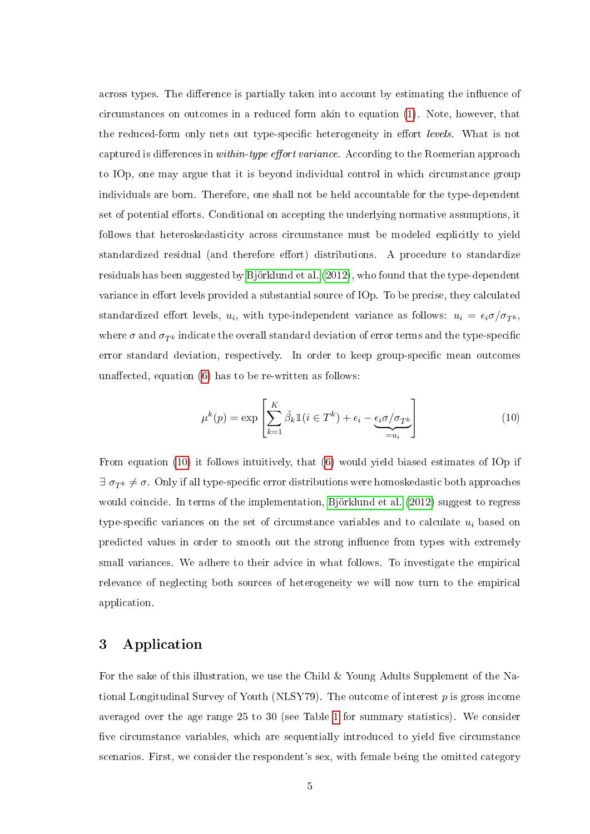across types. The difference is partially taken into account by estimating the influence of circumstances on outcomes in a reduced form akin to equation [\(1\)](#page-4-2). Note, however, that the reduced-form only nets out type-specific heterogeneity in effort *levels*. What is not captured is differences in within-type effort variance. According to the Roemerian approach to IOp, one may argue that it is beyond individual control in which circumstance group individuals are born. Therefore, one shall not be held accountable for the type-dependent set of potential efforts. Conditional on accepting the underlying normative assumptions, it follows that heteroskedasticity across circumstance must be modeled explicitly to yield standardized residual (and therefore effort) distributions. A procedure to standardize residuals has been suggested by [Björklund et al.](#page-10-4) [\(2012\)](#page-10-4), who found that the type-dependent variance in effort levels provided a substantial source of IOp. To be precise, they calculated standardized effort levels,  $u_i$ , with type-independent variance as follows:  $u_i = \epsilon_i \sigma / \sigma_{T^k}$ , where  $\sigma$  and  $\sigma_{T^k}$  indicate the overall standard deviation of error terms and the type-specific error standard deviation, respectively. In order to keep group-specific mean outcomes unaffected, equation  $(6)$  has to be re-written as follows:

<span id="page-6-1"></span>
$$
\mu^{k}(p) = \exp\left[\sum_{k=1}^{K} \hat{\beta}_{k} \mathbb{1}(i \in T^{k}) + \epsilon_{i} - \underbrace{\epsilon_{i} \sigma / \sigma_{T^{k}}}_{=u_{i}}\right]
$$
(10)

From equation [\(10\)](#page-6-1) it follows intuitively, that [\(6\)](#page-5-2) would yield biased estimates of IOp if  $\exists \sigma_{T^k} \neq \sigma$ . Only if all type-specific error distributions were homoskedastic both approaches would coincide. In terms of the implementation, [Björklund et al.](#page-10-4) [\(2012\)](#page-10-4) suggest to regress type-specific variances on the set of circumstance variables and to calculate  $u_i$  based on predicted values in order to smooth out the strong influence from types with extremely small variances. We adhere to their advice in what follows. To investigate the empirical relevance of neglecting both sources of heterogeneity we will now turn to the empirical application.

#### <span id="page-6-0"></span>3 Application

For the sake of this illustration, we use the Child & Young Adults Supplement of the National Longitudinal Survey of Youth (NLSY79). The outcome of interest  $p$  is gross income averaged over the age range 25 to 30 (see Table [1](#page-7-0) for summary statistics). We consider five circumstance variables, which are sequentially introduced to yield five circumstance scenarios. First, we consider the respondent's sex, with female being the omitted category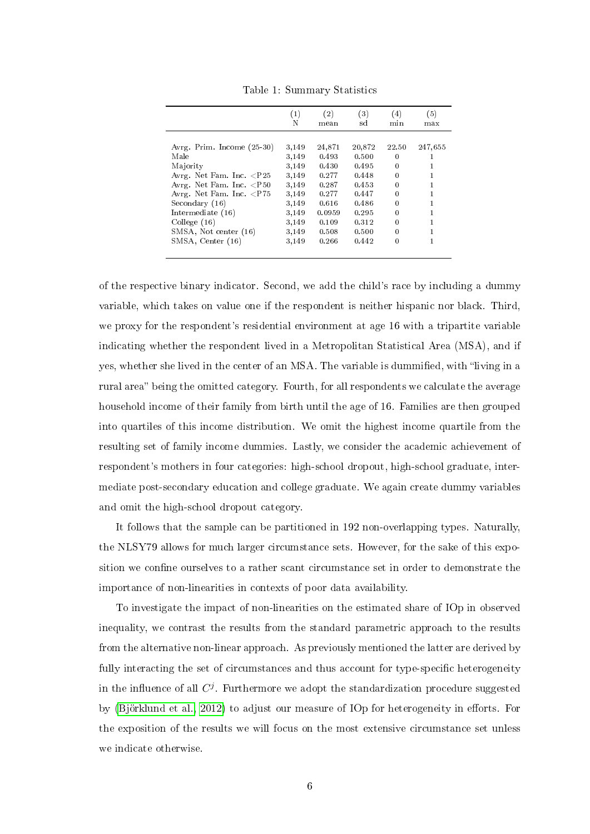|                                   | (1)<br>N | (2)<br>mean | (3)<br>sd | (4)<br>min   | (5)<br>max |
|-----------------------------------|----------|-------------|-----------|--------------|------------|
|                                   |          |             |           |              |            |
| Avrg. Prim. Income (25-30)        | 3,149    | 24,871      | 20,872    | 22.50        | 247,655    |
| Male                              | 3,149    | 0.493       | 0.500     | $\mathbf{0}$ |            |
| Majority                          | 3,149    | 0.430       | 0.495     | $\Omega$     |            |
| Avrg. Net Fam. Inc. $\langle P25$ | 3,149    | 0.277       | 0.448     | 0            |            |
| Avrg. Net Fam. Inc. $<$ P50       | 3,149    | 0.287       | 0.453     | $\mathbf{0}$ |            |
| Avrg. Net Fam. Inc. $\langle$ P75 | 3,149    | 0.277       | 0.447     | 0            |            |
| Secondary (16)                    | 3,149    | 0.616       | 0.486     | 0            |            |
| Intermediate (16)                 | 3,149    | 0.0959      | 0.295     | $\theta$     |            |
| Collecte(16)                      | 3,149    | 0.109       | 0.312     | 0            |            |
| SMSA, Not center (16)             | 3,149    | 0.508       | 0.500     | 0            |            |
| SMSA, Center (16)                 | 3,149    | 0.266       | 0.442     | 0            |            |

<span id="page-7-0"></span>Table 1: Summary Statistics

of the respective binary indicator. Second, we add the child's race by including a dummy variable, which takes on value one if the respondent is neither hispanic nor black. Third, we proxy for the respondent's residential environment at age 16 with a tripartite variable indicating whether the respondent lived in a Metropolitan Statistical Area (MSA), and if yes, whether she lived in the center of an MSA. The variable is dummified, with "living in a rural area" being the omitted category. Fourth, for all respondents we calculate the average household income of their family from birth until the age of 16. Families are then grouped into quartiles of this income distribution. We omit the highest income quartile from the resulting set of family income dummies. Lastly, we consider the academic achievement of respondent's mothers in four categories: high-school dropout, high-school graduate, intermediate post-secondary education and college graduate. We again create dummy variables and omit the high-school dropout category.

It follows that the sample can be partitioned in 192 non-overlapping types. Naturally, the NLSY79 allows for much larger circumstance sets. However, for the sake of this exposition we confine ourselves to a rather scant circumstance set in order to demonstrate the importance of non-linearities in contexts of poor data availability.

To investigate the impact of non-linearities on the estimated share of IOp in observed inequality, we contrast the results from the standard parametric approach to the results from the alternative non-linear approach. As previously mentioned the latter are derived by fully interacting the set of circumstances and thus account for type-specific heterogeneity in the influence of all  $C^j$ . Furthermore we adopt the standardization procedure suggested by [\(Björklund et al., 2012\)](#page-10-4) to adjust our measure of IOp for heterogeneity in efforts. For the exposition of the results we will focus on the most extensive circumstance set unless we indicate otherwise.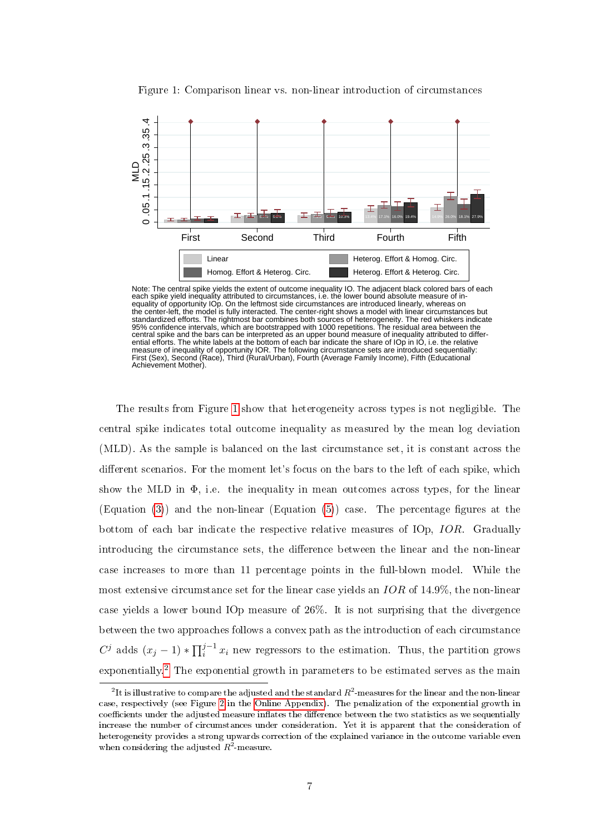

<span id="page-8-0"></span>Figure 1: Comparison linear vs. non-linear introduction of circumstances

Note: The central spike yields the extent of outcome inequality IO. The adjacent black colored bars of each each spike yield inequality attributed to circumstances, i.e. the lower bound absolute measure of inequality of opportunity IOp. On the leftmost side circumstances are introduced linearly, whereas on the center-left, the model is fully interacted. The center-right shows a model with linear circumstances but standardized efforts. The rightmost bar combines both sources of heterogeneity. The red whiskers indicate<br>95% confidence intervals, which are bootstrapped with 1000 repetitions. The residual area between the<br>central spike measure of inequality of opportunity IOR. The following circumstance sets are introduced sequentially: First (Sex), Second (Race), Third (Rural/Urban), Fourth (Average Family Income), Fifth (Educational Achievement Mother).

The results from Figure [1](#page-8-0) show that heterogeneity across types is not negligible. The central spike indicates total outcome inequality as measured by the mean log deviation (MLD). As the sample is balanced on the last circumstance set, it is constant across the different scenarios. For the moment let's focus on the bars to the left of each spike, which show the MLD in  $\Phi$ , i.e. the inequality in mean outcomes across types, for the linear (Equation [\(3\)](#page-4-1)) and the non-linear (Equation [\(5\)](#page-5-1)) case. The percentage figures at the bottom of each bar indicate the respective relative measures of IOp, IOR. Gradually introducing the circumstance sets, the difference between the linear and the non-linear case increases to more than 11 percentage points in the full-blown model. While the most extensive circumstance set for the linear case yields an IOR of 14.9%, the non-linear case yields a lower bound IOp measure of 26%. It is not surprising that the divergence between the two approaches follows a convex path as the introduction of each circumstance C<sup>j</sup> adds  $(x_j - 1) * \prod_{i=1}^{j-1} x_i$  new regressors to the estimation. Thus, the partition grows exponentially.<sup>[2](#page--1-0)</sup> The exponential growth in parameters to be estimated serves as the main

 $^2$ It is illustrative to compare the adjusted and the standard  $R^2$ -measures for the linear and the non-linear case, respectively (see Figure [2](#page-20-0) in the [Online Appendix\)](#page-12-0). The penalization of the exponential growth in coefficients under the adjusted measure inflates the difference between the two statistics as we sequentially increase the number of circumstances under consideration. Yet it is apparent that the consideration of heterogeneity provides a strong upwards correction of the explained variance in the outcome variable even when considering the adjusted  $R^2$ -measure.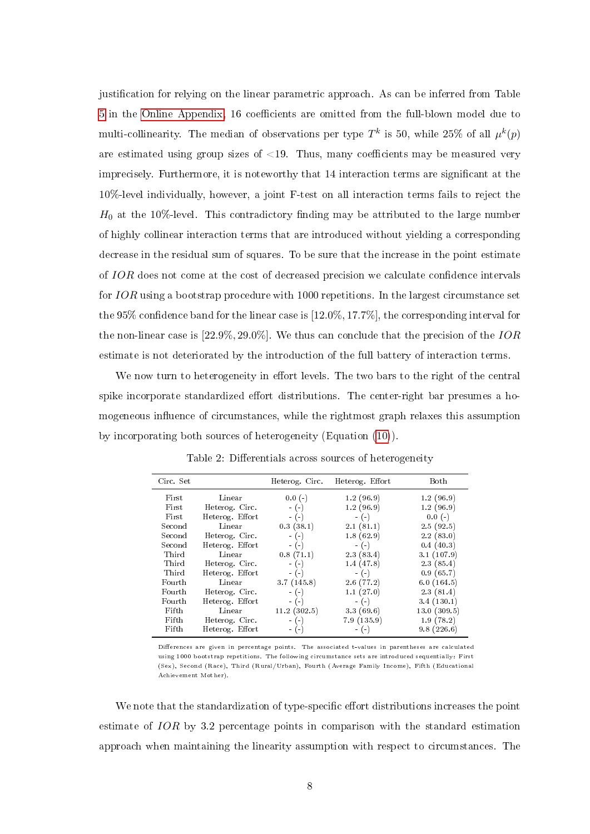justification for relying on the linear parametric approach. As can be inferred from Table [5](#page-12-1) in the [Online Appendix,](#page-12-0) 16 coefficients are omitted from the full-blown model due to multi-collinearity. The median of observations per type  $T^k$  is 50, while 25% of all  $\mu^k(p)$ are estimated using group sizes of  $\langle 19, 19 \rangle$ . Thus, many coefficients may be measured very imprecisely. Furthermore, it is noteworthy that 14 interaction terms are signicant at the 10%-level individually, however, a joint F-test on all interaction terms fails to reject the  $H_0$  at the 10%-level. This contradictory finding may be attributed to the large number of highly collinear interaction terms that are introduced without yielding a corresponding decrease in the residual sum of squares. To be sure that the increase in the point estimate of IOR does not come at the cost of decreased precision we calculate condence intervals for IOR using a bootstrap procedure with 1000 repetitions. In the largest circumstance set the 95% confidence band for the linear case is  $[12.0\%, 17.7\%]$ , the corresponding interval for the non-linear case is  $[22.9\%, 29.0\%]$ . We thus can conclude that the precision of the  $IOR$ estimate is not deteriorated by the introduction of the full battery of interaction terms.

We now turn to heterogeneity in effort levels. The two bars to the right of the central spike incorporate standardized effort distributions. The center-right bar presumes a homogeneous influence of circumstances, while the rightmost graph relaxes this assumption by incorporating both sources of heterogeneity (Equation [\(10\)](#page-6-1)).

| Circ. Set |                 | Heterog. Circ. | Heterog. Effort | Both        |
|-----------|-----------------|----------------|-----------------|-------------|
| First     | Linear          | $0.0(-)$       | 1.2(96.9)       | 1.2(96.9)   |
| First     | Heterog. Circ.  | $-(-)$         | 1.2(96.9)       | 1.2(96.9)   |
| First     | Heterog. Effort | $-(-)$         | $-(-)$          | $0.0(-)$    |
| Second    | Linear          | 0.3(38.1)      | 2.1(81.1)       | 2.5(92.5)   |
| Second    | Heterog. Circ.  | $-(-)$         | 1.8(62.9)       | 2.2(83.0)   |
| Second    | Heterog. Effort | $-(-)$         | $-(-)$          | 0.4(40.3)   |
| Third     | Linear          | 0.8(71.1)      | 2.3(83.4)       | 3.1(107.9)  |
| Third     | Heterog. Circ.  | $-(-)$         | 1.4(47.8)       | 2.3(85.4)   |
| Third     | Heterog. Effort | $-(-)$         | $-(-)$          | 0.9(65.7)   |
| Fourth    | Linear          | 3.7(145.8)     | 2.6(77.2)       | 6.0(164.5)  |
| Fourth    | Heterog. Circ.  | $-(-)$         | 1.1(27.0)       | 2.3(81.4)   |
| Fourth    | Heterog. Effort | $-(-)$         | $-(-)$          | 3.4(130.1)  |
| Fifth     | Linear          | 11.2(302.5)    | 3.3(69.6)       | 13.0(309.5) |
| Fifth     | Heterog. Circ.  | $-(-)$         | 7.9(135.9)      | 1.9(78.2)   |
| Fifth     | Heterog. Effort | $-(-)$         | $-(-)$          | 9.8(226.6)  |

<span id="page-9-0"></span>Table 2: Differentials across sources of heterogeneity

Differences are given in percentage points. The associated t-values in parentheses are calculated using 1000 bootstrap repetitions. The following circumstance sets are introduced sequentially: First (Sex), Second (Race), Third (Rural/Urban), Fourth (Average Family Income), Fifth (Educational Achievement Mother).

We note that the standardization of type-specific effort distributions increases the point estimate of IOR by 3.2 percentage points in comparison with the standard estimation approach when maintaining the linearity assumption with respect to circumstances. The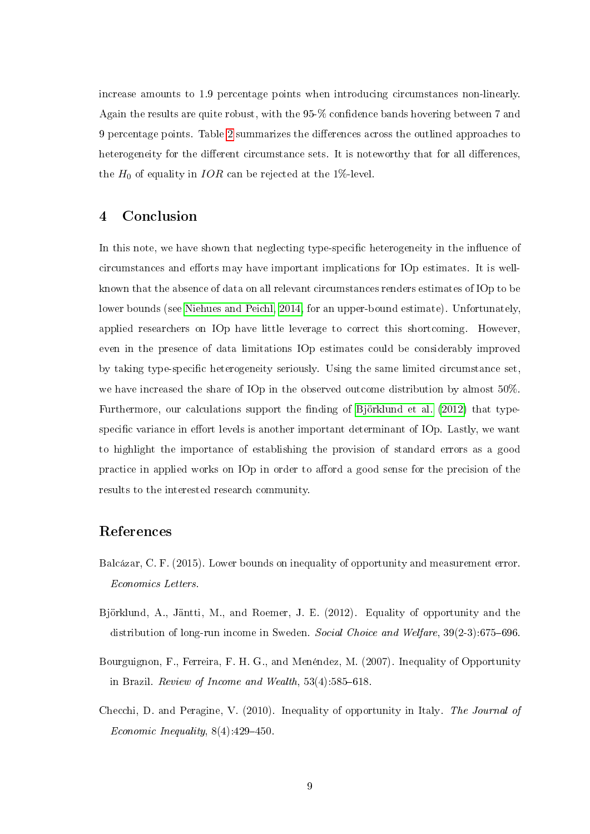increase amounts to 1.9 percentage points when introducing circumstances non-linearly. Again the results are quite robust, with the 95-% confidence bands hovering between 7 and 9 percentage points. Table [2](#page-9-0) summarizes the dierences across the outlined approaches to heterogeneity for the different circumstance sets. It is noteworthy that for all differences, the  $H_0$  of equality in IOR can be rejected at the 1%-level.

#### <span id="page-10-3"></span>4 Conclusion

In this note, we have shown that neglecting type-specific heterogeneity in the influence of circumstances and efforts may have important implications for IOp estimates. It is wellknown that the absence of data on all relevant circumstances renders estimates of IOp to be lower bounds (see [Niehues and Peichl, 2014,](#page-11-4) for an upper-bound estimate). Unfortunately, applied researchers on IOp have little leverage to correct this shortcoming. However, even in the presence of data limitations IOp estimates could be considerably improved by taking type-specific heterogeneity seriously. Using the same limited circumstance set, we have increased the share of IOp in the observed outcome distribution by almost 50%. Furthermore, our calculations support the finding of [Björklund et al.](#page-10-4) [\(2012\)](#page-10-4) that typespecific variance in effort levels is another important determinant of IOp. Lastly, we want to highlight the importance of establishing the provision of standard errors as a good practice in applied works on IOp in order to afford a good sense for the precision of the results to the interested research community.

#### References

- <span id="page-10-2"></span>Balcázar, C. F. (2015). Lower bounds on inequality of opportunity and measurement error. Economics Letters.
- <span id="page-10-4"></span>Björklund, A., Jäntti, M., and Roemer, J. E. (2012). Equality of opportunity and the distribution of long-run income in Sweden. Social Choice and Welfare,  $39(2-3)$ :675-696.
- <span id="page-10-0"></span>Bourguignon, F., Ferreira, F. H. G., and Menéndez, M. (2007). Inequality of Opportunity in Brazil. Review of Income and Wealth,  $53(4):585-618$ .
- <span id="page-10-1"></span>Checchi, D. and Peragine, V. (2010). Inequality of opportunity in Italy. The Journal of Economic Inequality,  $8(4)$ :  $429-450$ .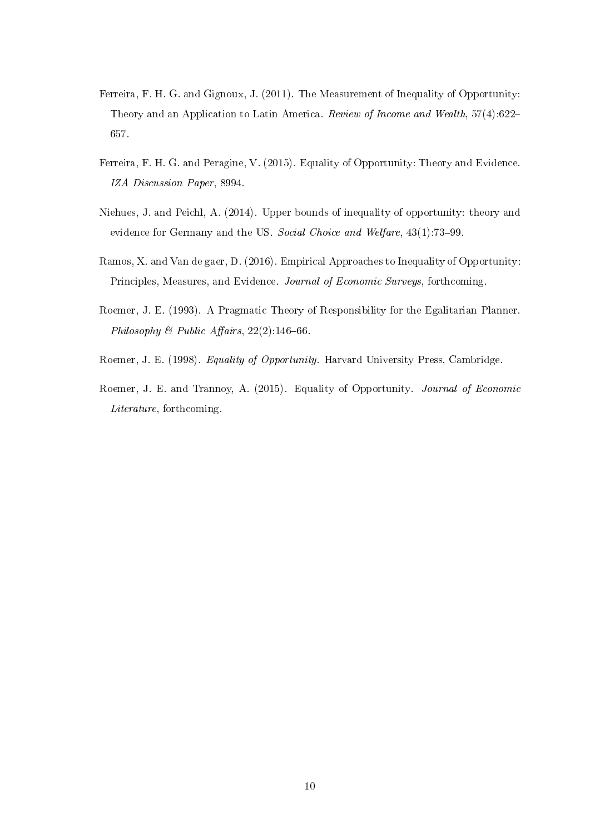- <span id="page-11-2"></span>Ferreira, F. H. G. and Gignoux, J. (2011). The Measurement of Inequality of Opportunity: Theory and an Application to Latin America. Review of Income and Wealth, 57(4):622 657.
- <span id="page-11-6"></span>Ferreira, F. H. G. and Peragine, V. (2015). Equality of Opportunity: Theory and Evidence. IZA Discussion Paper, 8994.
- <span id="page-11-4"></span>Niehues, J. and Peichl, A. (2014). Upper bounds of inequality of opportunity: theory and evidence for Germany and the US. Social Choice and Welfare, 43(1):73-99.
- <span id="page-11-5"></span>Ramos, X. and Van de gaer, D. (2016). Empirical Approaches to Inequality of Opportunity: Principles, Measures, and Evidence. Journal of Economic Surveys, forthcoming.
- <span id="page-11-0"></span>Roemer, J. E. (1993). A Pragmatic Theory of Responsibility for the Egalitarian Planner. Philosophy & Public Affairs,  $22(2)$ :146-66.
- <span id="page-11-1"></span>Roemer, J. E. (1998). Equality of Opportunity. Harvard University Press, Cambridge.
- <span id="page-11-3"></span>Roemer, J. E. and Trannoy, A. (2015). Equality of Opportunity. Journal of Economic Literature, forthcoming.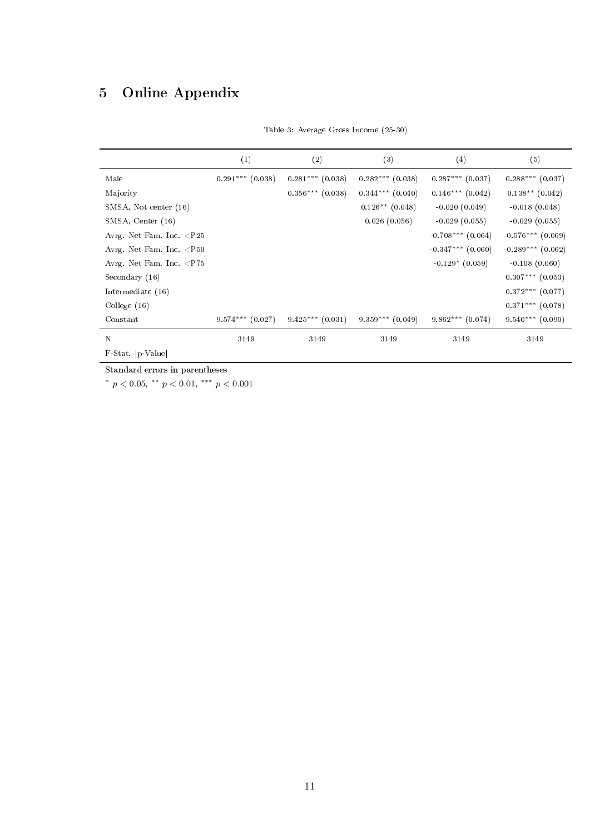# <span id="page-12-1"></span><span id="page-12-0"></span>5 Online Appendix

|                                   | (1)                  | (2)                  | (3)                  | (4)                   | (5)                   |
|-----------------------------------|----------------------|----------------------|----------------------|-----------------------|-----------------------|
| Male                              | $0.291***$ $(0.038)$ | $0.281***$ $(0.038)$ | $0.282***$ (0.038)   | $0.287***$ (0.037)    | $0.288***$ (0.037)    |
| Majority                          |                      | $0.356***$ (0.038)   | $0.344***$ $(0.040)$ | $0.146***$ $(0.042)$  | $0.138**$ $(0.042)$   |
| SMSA, Not center (16)             |                      |                      | $0.126**$ $(0.048)$  | $-0.020(0.049)$       | $-0.018(0.048)$       |
| SMSA, Center (16)                 |                      |                      | 0.026(0.056)         | $-0.029(0.055)$       | $-0.029(0.055)$       |
| Avrg. Net Fam. Inc. $\langle P25$ |                      |                      |                      | $-0.708***$ $(0.064)$ | $-0.576***$ $(0.069)$ |
| Avrg. Net Fam. Inc. $<$ P50       |                      |                      |                      | $-0.347***$ $(0.060)$ | $-0.289***$ $(0.062)$ |
| Avrg. Net Fam. Inc. $\langle$ P75 |                      |                      |                      | $-0.129*(0.059)$      | $-0.108(0.060)$       |
| Secondary (16)                    |                      |                      |                      |                       | $0.307***$ (0.053)    |
| Intermediate (16)                 |                      |                      |                      |                       | $0.372***$ (0.077)    |
| College $(16)$                    |                      |                      |                      |                       | $0.371***$ $(0.078)$  |
| Constant                          | $9.574***$ $(0.027)$ | $9.425***$ $(0.031)$ | $9.359***$ $(0.049)$ | $9.862***$ (0.074)    | $9.540***$ $(0.090)$  |
| N                                 | 3149                 | 3149                 | 3149                 | 3149                  | 3149                  |
| F-Stat. p-Value                   |                      |                      |                      |                       |                       |

Table 3: Average Gross Income (25-30)

Standard errors in parentheses

\*  $p < 0.05$ , \*\*  $p < 0.01$ , \*\*\*  $p < 0.001$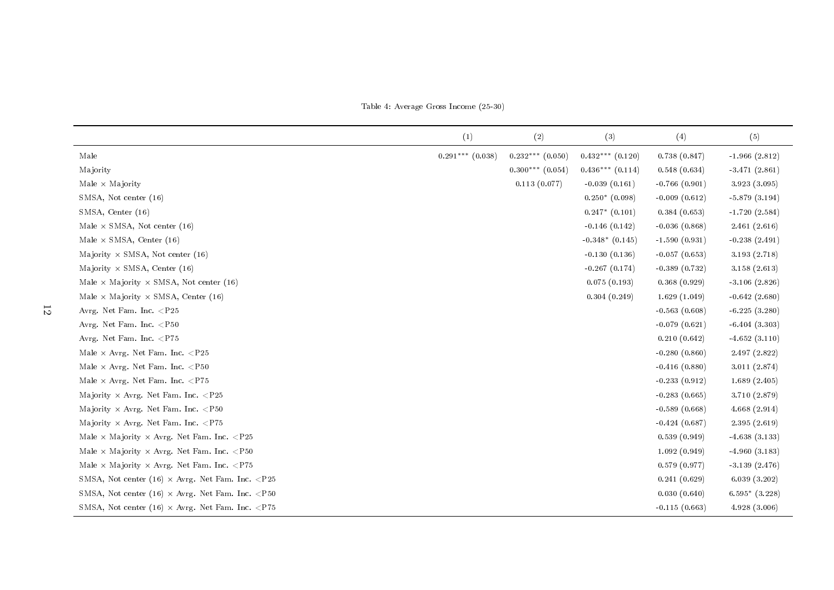Table 4: Average Gross Income (25-30)

|                                                                                                                                                                         | (1)                | (2)                  | (3)                  | (4)             | (5)                |
|-------------------------------------------------------------------------------------------------------------------------------------------------------------------------|--------------------|----------------------|----------------------|-----------------|--------------------|
| Male                                                                                                                                                                    | $0.291***$ (0.038) | $0.232***$ $(0.050)$ | $0.432***$ $(0.120)$ | 0.738(0.847)    | $-1.966(2.812)$    |
| Majority                                                                                                                                                                |                    | $0.300***$ $(0.054)$ | $0.436***$ $(0.114)$ | 0.548(0.634)    | $-3.471(2.861)$    |
| Male $\times$ Majority                                                                                                                                                  |                    | 0.113(0.077)         | $-0.039(0.161)$      | $-0.766(0.901)$ | 3.923 (3.095)      |
| SMSA, Not center (16)                                                                                                                                                   |                    |                      | $0.250*(0.098)$      | $-0.009(0.612)$ | $-5.879(3.194)$    |
| SMSA, Center (16)                                                                                                                                                       |                    |                      | $0.247*$ $(0.101)$   | 0.384(0.653)    | $-1.720(2.584)$    |
| Male $\times$ SMSA, Not center (16)                                                                                                                                     |                    |                      | $-0.146(0.142)$      | $-0.036(0.868)$ | 2.461(2.616)       |
| Male $\times$ SMSA, Center (16)                                                                                                                                         |                    |                      | $-0.348*(0.145)$     | $-1.590(0.931)$ | $-0.238(2.491)$    |
| Majority $\times$ SMSA, Not center (16)                                                                                                                                 |                    |                      | $-0.130(0.136)$      | $-0.057(0.653)$ | 3.193(2.718)       |
| Majority $\times$ SMSA, Center (16)                                                                                                                                     |                    |                      | $-0.267(0.174)$      | $-0.389(0.732)$ | 3.158(2.613)       |
| Male $\times$ Majority $\times$ SMSA, Not center (16)                                                                                                                   |                    |                      | 0.075(0.193)         | 0.368(0.929)    | $-3.106(2.826)$    |
| Male $\times$ Majority $\times$ SMSA, Center (16)                                                                                                                       |                    |                      | 0.304(0.249)         | 1.629(1.049)    | $-0.642(2.680)$    |
| Avrg. Net Fam. Inc. <p25< td=""><td></td><td></td><td></td><td><math>-0.563(0.608)</math></td><td><math>-6.225(3.280)</math></td></p25<>                                |                    |                      |                      | $-0.563(0.608)$ | $-6.225(3.280)$    |
| Avrg. Net Fam. Inc. <p50< td=""><td></td><td></td><td></td><td><math>-0.079(0.621)</math></td><td><math>-6.404(3.303)</math></td></p50<>                                |                    |                      |                      | $-0.079(0.621)$ | $-6.404(3.303)$    |
| Avrg. Net Fam. Inc. <p75< td=""><td></td><td></td><td></td><td>0.210(0.642)</td><td><math>-4.652(3.110)</math></td></p75<>                                              |                    |                      |                      | 0.210(0.642)    | $-4.652(3.110)$    |
| Male $\times$ Avrg. Net Fam. Inc. $\langle P25$                                                                                                                         |                    |                      |                      | $-0.280(0.860)$ | 2.497 (2.822)      |
| Male $\times$ Avrg. Net Fam. Inc. ${ <\hspace{-1.5pt}{\rm P50}}$                                                                                                        |                    |                      |                      | $-0.416(0.880)$ | 3.011 (2.874)      |
| Male $\times$ Avrg. Net Fam. Inc. $\langle$ P75                                                                                                                         |                    |                      |                      | $-0.233(0.912)$ | 1.689(2.405)       |
| Majority $\times$ Avrg. Net Fam. Inc. $\langle P25$                                                                                                                     |                    |                      |                      | $-0.283(0.665)$ | 3.710 (2.879)      |
| Majority $\times$ Avrg. Net Fam. Inc. $\langle P50$                                                                                                                     |                    |                      |                      | $-0.589(0.668)$ | 4.668(2.914)       |
| Majority $\times$ Avrg. Net Fam. Inc. $\langle$ P75                                                                                                                     |                    |                      |                      | $-0.424(0.687)$ | 2.395(2.619)       |
| Male $\times$ Majority $\times$ Avrg. Net Fam. Inc. $\langle P25$                                                                                                       |                    |                      |                      | 0.539(0.949)    | $-4.638(3.133)$    |
| Male $\times$ Majority $\times$ Avrg. Net Fam. Inc. <p50< td=""><td></td><td></td><td></td><td>1.092(0.949)</td><td><math>-4.960(3.183)</math></td></p50<>              |                    |                      |                      | 1.092(0.949)    | $-4.960(3.183)$    |
| Male $\times$ Majority $\times$ Avrg. Net Fam. Inc. <p75< td=""><td></td><td></td><td></td><td>0.579(0.977)</td><td><math>-3.139(2.476)</math></td></p75<>              |                    |                      |                      | 0.579(0.977)    | $-3.139(2.476)$    |
| SMSA, Not center (16) $\times$ Avrg. Net Fam. Inc. <p25< td=""><td></td><td></td><td></td><td>0.241(0.629)</td><td>6.039(3.202)</td></p25<>                             |                    |                      |                      | 0.241(0.629)    | 6.039(3.202)       |
| SMSA, Not center (16) $\times$ Avrg. Net Fam. Inc. <p50< td=""><td></td><td></td><td></td><td>0.030(0.640)</td><td><math>6.595*</math> <math>(3.228)</math></td></p50<> |                    |                      |                      | 0.030(0.640)    | $6.595*$ $(3.228)$ |
| SMSA, Not center (16) $\times$ Avrg. Net Fam. Inc. <p75< td=""><td></td><td></td><td></td><td><math>-0.115(0.663)</math></td><td>4.928(3.006)</td></p75<>               |                    |                      |                      | $-0.115(0.663)$ | 4.928(3.006)       |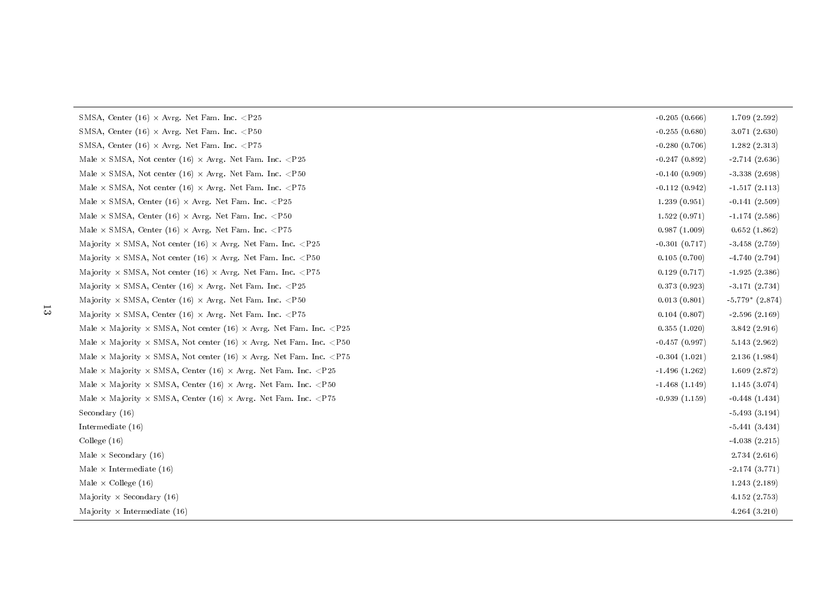| $-0.255(0.680)$<br>3.071(2.630)<br>$-0.280(0.706)$<br>1.282(2.313)<br>$-0.247(0.892)$<br>$-2.714(2.636)$<br>$-0.140(0.909)$<br>$-3.338(2.698)$<br>$-0.112(0.942)$<br>$-1.517(2.113)$<br>1.239(0.951)<br>$-0.141(2.509)$<br>1.522(0.971)<br>$-1.174(2.586)$<br>0.987(1.009)<br>0.652(1.862)<br>$-0.301(0.717)$<br>$-3.458(2.759)$<br>0.105(0.700)<br>$-4.740(2.794)$<br>0.129(0.717)<br>$-1.925(2.386)$<br>0.373(0.923)<br>$-3.171(2.734)$<br>$-5.779*$ $(2.874)$<br>0.013(0.801)<br>0.104(0.807)<br>$-2.596(2.169)$<br>0.355(1.020)<br>3.842(2.916)<br>$-0.457(0.997)$<br>5.143(2.962)<br>$-0.304(1.021)$<br>2.136(1.984)<br>$-1.496(1.262)$<br>1.609(2.872)<br>$-1.468(1.149)$<br>1.145(3.074)<br>$-0.939(1.159)$<br>$-0.448(1.434)$<br>$-5.493(3.194)$<br>$-5.441(3.434)$<br>$-4.038(2.215)$<br>2.734(2.616)<br>$-2.174(3.771)$<br>1.243(2.189)<br>4.152(2.753)<br>4.264(3.210) | SMSA, Center (16) $\times$ Avrg. Net Fam. Inc. <p25< th=""><th><math>-0.205(0.666)</math></th><th>1.709(2.592)</th></p25<> | $-0.205(0.666)$ | 1.709(2.592) |
|-----------------------------------------------------------------------------------------------------------------------------------------------------------------------------------------------------------------------------------------------------------------------------------------------------------------------------------------------------------------------------------------------------------------------------------------------------------------------------------------------------------------------------------------------------------------------------------------------------------------------------------------------------------------------------------------------------------------------------------------------------------------------------------------------------------------------------------------------------------------------------------|----------------------------------------------------------------------------------------------------------------------------|-----------------|--------------|
|                                                                                                                                                                                                                                                                                                                                                                                                                                                                                                                                                                                                                                                                                                                                                                                                                                                                                   | SMSA, Center (16) $\times$ Avrg. Net Fam. Inc. <p50< td=""><td></td><td></td></p50<>                                       |                 |              |
|                                                                                                                                                                                                                                                                                                                                                                                                                                                                                                                                                                                                                                                                                                                                                                                                                                                                                   | SMSA, Center (16) $\times$ Avrg. Net Fam. Inc. <p75< td=""><td></td><td></td></p75<>                                       |                 |              |
|                                                                                                                                                                                                                                                                                                                                                                                                                                                                                                                                                                                                                                                                                                                                                                                                                                                                                   | Male $\times$ SMSA, Not center (16) $\times$ Avrg. Net Fam. Inc. <p25< td=""><td></td><td></td></p25<>                     |                 |              |
|                                                                                                                                                                                                                                                                                                                                                                                                                                                                                                                                                                                                                                                                                                                                                                                                                                                                                   | Male $\times$ SMSA, Not center (16) $\times$ Avrg. Net Fam. Inc. <p50< td=""><td></td><td></td></p50<>                     |                 |              |
|                                                                                                                                                                                                                                                                                                                                                                                                                                                                                                                                                                                                                                                                                                                                                                                                                                                                                   | Male $\times$ SMSA, Not center (16) $\times$ Avrg. Net Fam. Inc. <p75< td=""><td></td><td></td></p75<>                     |                 |              |
|                                                                                                                                                                                                                                                                                                                                                                                                                                                                                                                                                                                                                                                                                                                                                                                                                                                                                   | Male $\times$ SMSA, Center (16) $\times$ Avrg. Net Fam. Inc. <p25< td=""><td></td><td></td></p25<>                         |                 |              |
|                                                                                                                                                                                                                                                                                                                                                                                                                                                                                                                                                                                                                                                                                                                                                                                                                                                                                   | Male $\times$ SMSA, Center (16) $\times$ Avrg. Net Fam. Inc. <p50< td=""><td></td><td></td></p50<>                         |                 |              |
|                                                                                                                                                                                                                                                                                                                                                                                                                                                                                                                                                                                                                                                                                                                                                                                                                                                                                   | Male $\times$ SMSA, Center (16) $\times$ Avrg. Net Fam. Inc. <p75< td=""><td></td><td></td></p75<>                         |                 |              |
|                                                                                                                                                                                                                                                                                                                                                                                                                                                                                                                                                                                                                                                                                                                                                                                                                                                                                   | Majority $\times$ SMSA, Not center (16) $\times$ Avrg. Net Fam. Inc. <p25< td=""><td></td><td></td></p25<>                 |                 |              |
|                                                                                                                                                                                                                                                                                                                                                                                                                                                                                                                                                                                                                                                                                                                                                                                                                                                                                   | Majority $\times$ SMSA, Not center (16) $\times$ Avrg. Net Fam. Inc. <p50< td=""><td></td><td></td></p50<>                 |                 |              |
|                                                                                                                                                                                                                                                                                                                                                                                                                                                                                                                                                                                                                                                                                                                                                                                                                                                                                   | Majority $\times$ SMSA, Not center (16) $\times$ Avrg. Net Fam. Inc. <p75< td=""><td></td><td></td></p75<>                 |                 |              |
|                                                                                                                                                                                                                                                                                                                                                                                                                                                                                                                                                                                                                                                                                                                                                                                                                                                                                   | Majority $\times$ SMSA, Center (16) $\times$ Avrg. Net Fam. Inc. <p25< td=""><td></td><td></td></p25<>                     |                 |              |
|                                                                                                                                                                                                                                                                                                                                                                                                                                                                                                                                                                                                                                                                                                                                                                                                                                                                                   | Majority $\times$ SMSA, Center (16) $\times$ Avrg. Net Fam. Inc. <p50< td=""><td></td><td></td></p50<>                     |                 |              |
|                                                                                                                                                                                                                                                                                                                                                                                                                                                                                                                                                                                                                                                                                                                                                                                                                                                                                   | Majority $\times$ SMSA, Center (16) $\times$ Avrg. Net Fam. Inc. <p75< td=""><td></td><td></td></p75<>                     |                 |              |
|                                                                                                                                                                                                                                                                                                                                                                                                                                                                                                                                                                                                                                                                                                                                                                                                                                                                                   | Male $\times$ Majority $\times$ SMSA, Not center (16) $\times$ Avrg. Net Fam. Inc. <p25< td=""><td></td><td></td></p25<>   |                 |              |
|                                                                                                                                                                                                                                                                                                                                                                                                                                                                                                                                                                                                                                                                                                                                                                                                                                                                                   | Male $\times$ Majority $\times$ SMSA, Not center (16) $\times$ Avrg. Net Fam. Inc. <p50< td=""><td></td><td></td></p50<>   |                 |              |
|                                                                                                                                                                                                                                                                                                                                                                                                                                                                                                                                                                                                                                                                                                                                                                                                                                                                                   | Male $\times$ Majority $\times$ SMSA, Not center (16) $\times$ Avrg. Net Fam. Inc. <p75< td=""><td></td><td></td></p75<>   |                 |              |
|                                                                                                                                                                                                                                                                                                                                                                                                                                                                                                                                                                                                                                                                                                                                                                                                                                                                                   | Male $\times$ Majority $\times$ SMSA, Center (16) $\times$ Avrg. Net Fam. Inc. <p25< td=""><td></td><td></td></p25<>       |                 |              |
|                                                                                                                                                                                                                                                                                                                                                                                                                                                                                                                                                                                                                                                                                                                                                                                                                                                                                   | Male $\times$ Majority $\times$ SMSA, Center (16) $\times$ Avrg. Net Fam. Inc. <p50< td=""><td></td><td></td></p50<>       |                 |              |
|                                                                                                                                                                                                                                                                                                                                                                                                                                                                                                                                                                                                                                                                                                                                                                                                                                                                                   | Male $\times$ Majority $\times$ SMSA, Center (16) $\times$ Avrg. Net Fam. Inc. <p75< td=""><td></td><td></td></p75<>       |                 |              |
|                                                                                                                                                                                                                                                                                                                                                                                                                                                                                                                                                                                                                                                                                                                                                                                                                                                                                   | Secondary (16)                                                                                                             |                 |              |
|                                                                                                                                                                                                                                                                                                                                                                                                                                                                                                                                                                                                                                                                                                                                                                                                                                                                                   | Intermediate (16)                                                                                                          |                 |              |
|                                                                                                                                                                                                                                                                                                                                                                                                                                                                                                                                                                                                                                                                                                                                                                                                                                                                                   | College $(16)$                                                                                                             |                 |              |
|                                                                                                                                                                                                                                                                                                                                                                                                                                                                                                                                                                                                                                                                                                                                                                                                                                                                                   | Male $\times$ Secondary (16)                                                                                               |                 |              |
|                                                                                                                                                                                                                                                                                                                                                                                                                                                                                                                                                                                                                                                                                                                                                                                                                                                                                   | Male $\times$ Intermediate (16)                                                                                            |                 |              |
|                                                                                                                                                                                                                                                                                                                                                                                                                                                                                                                                                                                                                                                                                                                                                                                                                                                                                   | Male $\times$ College (16)                                                                                                 |                 |              |
|                                                                                                                                                                                                                                                                                                                                                                                                                                                                                                                                                                                                                                                                                                                                                                                                                                                                                   | Majority $\times$ Secondary (16)                                                                                           |                 |              |
|                                                                                                                                                                                                                                                                                                                                                                                                                                                                                                                                                                                                                                                                                                                                                                                                                                                                                   | Majority $\times$ Intermediate (16)                                                                                        |                 |              |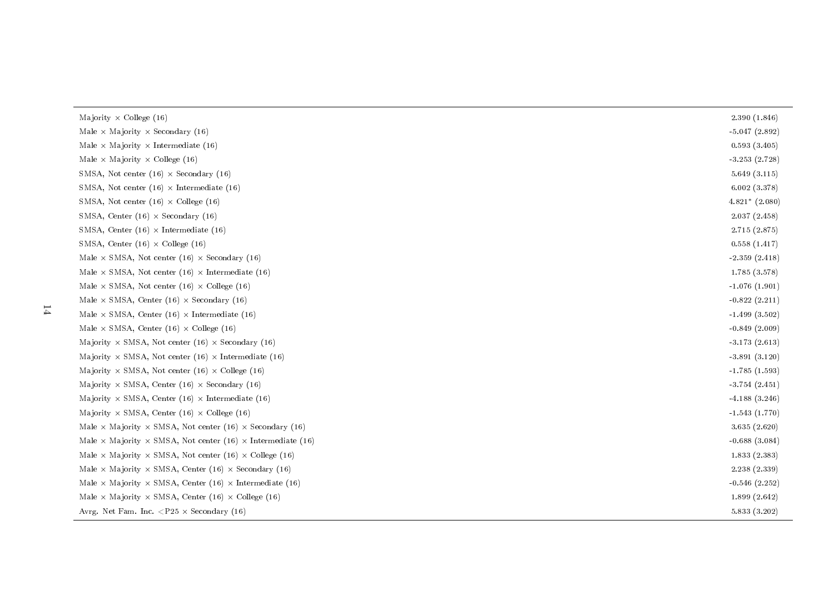| 2.390(1.846)       |
|--------------------|
| $-5.047(2.892)$    |
| 0.593(3.405)       |
| $-3.253(2.728)$    |
| 5.649(3.115)       |
| 6.002(3.378)       |
| $4.821*$ $(2.080)$ |
| 2.037(2.458)       |
| 2.715 (2.875)      |
| 0.558(1.417)       |
| $-2.359(2.418)$    |
| 1.785(3.578)       |
| $-1.076(1.901)$    |
| $-0.822(2.211)$    |
| $-1.499(3.502)$    |
| $-0.849(2.009)$    |
| $-3.173(2.613)$    |
| $-3.891(3.120)$    |
| $-1.785(1.593)$    |
| $-3.754(2.451)$    |
| $-4.188(3.246)$    |
| $-1.543(1.770)$    |
| 3.635(2.620)       |
| $-0.688(3.084)$    |
| 1.833(2.383)       |
| 2.238 (2.339)      |
| $-0.546(2.252)$    |
| 1.899(2.642)       |
| 5.833 (3.202)      |
|                    |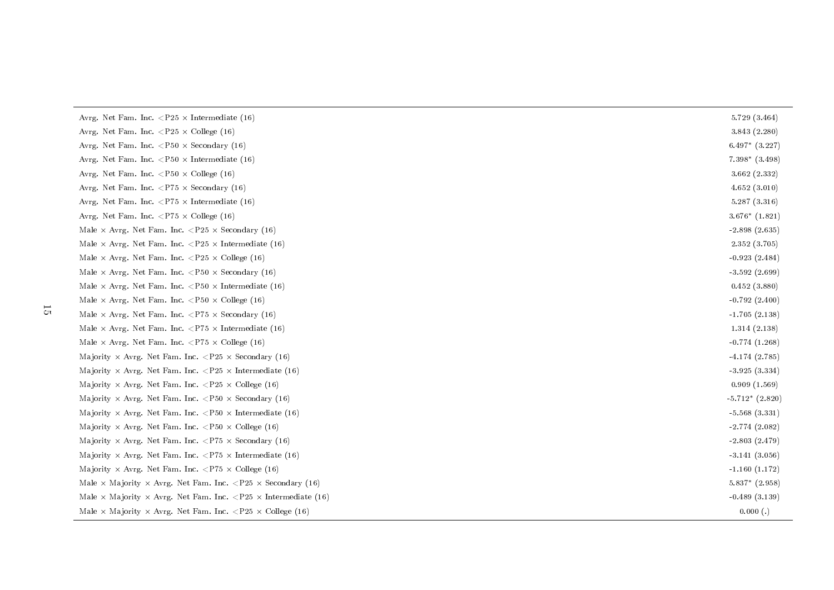| Avrg. Net Fam. Inc. $\langle P25 \times Intermediate (16) \rangle$                                        | 5.729(3.464)       |
|-----------------------------------------------------------------------------------------------------------|--------------------|
| Avrg. Net Fam. Inc. $\langle P25 \times \text{Collect}(16) \rangle$                                       | 3.843(2.280)       |
| Avrg. Net Fam. Inc. $\langle P50 \times \text{Secondary (16)} \rangle$                                    | $6.497*$ $(3.227)$ |
| Avrg. Net Fam. Inc. $\langle P50 \times \text{Intermediate} (16) \rangle$                                 | $7.398*$ $(3.498)$ |
| Avrg. Net Fam. Inc. $\langle P50 \times \text{College } (16) \rangle$                                     | 3.662(2.332)       |
| Avrg. Net Fam. Inc. $\langle$ P75 $\times$ Secondary (16)                                                 | 4.652(3.010)       |
| Avrg. Net Fam. Inc. $\langle$ P75 $\times$ Intermediate (16)                                              | 5.287(3.316)       |
| Avrg. Net Fam. Inc. $\langle$ P75 $\times$ College (16)                                                   | $3.676*$ $(1.821)$ |
| Male $\times$ Avrg. Net Fam. Inc. $\langle P25 \times \text{Secondary (16)} \rangle$                      | $-2.898(2.635)$    |
| Male $\times$ Avrg. Net Fam. Inc. <p25 <math="">\times Intermediate (16)</p25>                            | 2.352 (3.705)      |
| Male $\times$ Avrg. Net Fam. Inc. $\langle P25 \times \text{Collect}(16) \rangle$                         | $-0.923(2.484)$    |
| Male $\times$ Avrg. Net Fam. Inc. $\langle P50 \times \text{Secondary (16)} \rangle$                      | $-3.592(2.699)$    |
| Male $\times$ Avrg. Net Fam. Inc. $\langle P50 \times \text{Intermediate (16)} \rangle$                   | 0.452(3.880)       |
| Male $\times$ Avrg. Net Fam. Inc. $\langle P50 \times \text{Collect}(16) \rangle$                         | $-0.792(2.400)$    |
| Male $\times$ Avrg. Net Fam. Inc. $\langle$ P75 $\times$ Secondary (16)                                   | $-1.705(2.138)$    |
| Male $\times$ Avrg. Net Fam. Inc. $\langle$ P75 $\times$ Intermediate (16)                                | 1.314(2.138)       |
| Male $\times$ Avrg. Net Fam. Inc. $\langle$ P75 $\times$ College (16)                                     | $-0.774(1.268)$    |
| Majority $\times$ Avrg. Net Fam. Inc. $\langle P25 \times \text{Secondary (16)} \rangle$                  | $-4.174(2.785)$    |
| Majority $\times$ Avrg. Net Fam. Inc. $\langle P25 \times Intermediate (16)$                              | $-3.925(3.334)$    |
| Majority $\times$ Avrg. Net Fam. Inc. $\langle P25 \times \text{Collect}(16) \rangle$                     | 0.909(1.569)       |
| Majority $\times$ Avrg. Net Fam. Inc. $\langle P50 \times \text{Secondary (16)} \rangle$                  | $-5.712*(2.820)$   |
| Majority $\times$ Avrg. Net Fam. Inc. $\langle P50 \times \text{Intermediate (16)} \rangle$               | $-5.568(3.331)$    |
| Majority $\times$ Avrg. Net Fam. Inc. $\langle P50 \times \text{Collect}(16) \rangle$                     | $-2.774(2.082)$    |
| Majority $\times$ Avrg. Net Fam. Inc. $\langle$ P75 $\times$ Secondary (16)                               | $-2.803(2.479)$    |
| Majority $\times$ Avrg. Net Fam. Inc. $\langle$ P75 $\times$ Intermediate (16)                            | $-3.141(3.056)$    |
| Majority $\times$ Avrg. Net Fam. Inc. $\langle$ P75 $\times$ College (16)                                 | $-1.160(1.172)$    |
| Male $\times$ Majority $\times$ Avrg. Net Fam. Inc. $\langle$ P25 $\times$ Secondary (16)                 | $5.837*$ $(2.958)$ |
| Male $\times$ Majority $\times$ Avrg. Net Fam. Inc. $\langle P25 \times \text{Intermediate (16)} \rangle$ | $-0.489(3.139)$    |
| Male $\times$ Majority $\times$ Avrg. Net Fam. Inc. <p25 <math="">\times College (16)</p25>               | 0.000(.)           |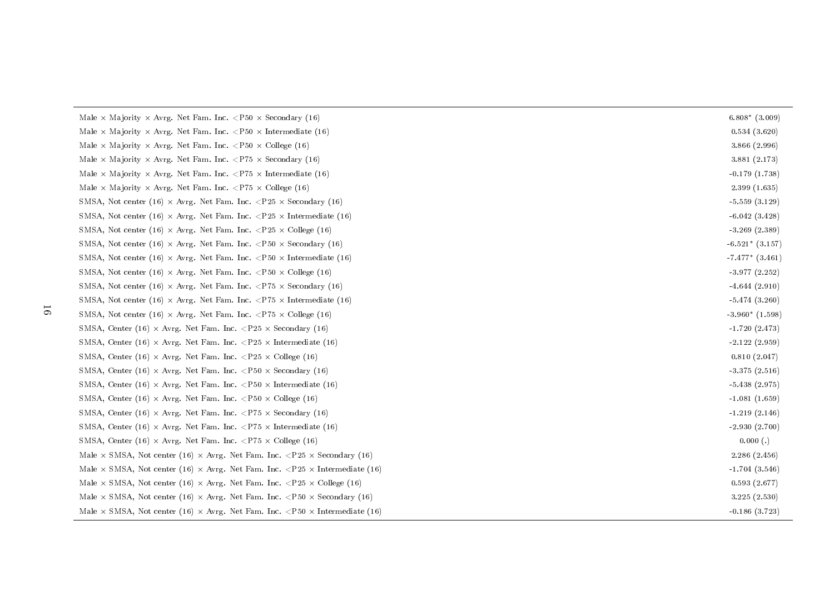| Male $\times$ Majority $\times$ Avrg. Net Fam. Inc. $\langle P50 \times$ Secondary (16)                           | $6.808*$ (3.009)    |
|-------------------------------------------------------------------------------------------------------------------|---------------------|
| Male $\times$ Majority $\times$ Avrg. Net Fam. Inc. $\langle P50 \times$ Intermediate (16)                        | 0.534(3.620)        |
| Male $\times$ Majority $\times$ Avrg. Net Fam. Inc. $\langle$ P50 $\times$ College (16)                           | 3.866 (2.996)       |
| Male $\times$ Majority $\times$ Avrg. Net Fam. Inc. $\langle$ P75 $\times$ Secondary (16)                         | 3.881(2.173)        |
| Male $\times$ Majority $\times$ Avrg. Net Fam. Inc. <p75 <math="">\times Intermediate (16)</p75>                  | $-0.179(1.738)$     |
| Male $\times$ Majority $\times$ Avrg. Net Fam. Inc. $\langle$ P75 $\times$ College (16)                           | 2.399(1.635)        |
| SMSA, Not center (16) $\times$ Avrg. Net Fam. Inc. <p25 <math="">\times Secondary (16)</p25>                      | $-5.559(3.129)$     |
| SMSA, Not center (16) $\times$ Avrg. Net Fam. Inc. <p25 <math="">\times Intermediate (16)</p25>                   | $-6.042(3.428)$     |
| SMSA, Not center (16) $\times$ Avrg. Net Fam. Inc. $\langle P25 \times \text{College } (16) \rangle$              | $-3.269(2.389)$     |
| SMSA, Not center (16) $\times$ Avrg. Net Fam. Inc. <p50 <math="">\times Secondary (16)</p50>                      | $-6.521*(3.157)$    |
| SMSA, Not center (16) $\times$ Avrg. Net Fam. Inc. <p50 <math="">\times Intermediate (16)</p50>                   | $-7.477*$ $(3.461)$ |
| SMSA, Not center (16) $\times$ Avrg. Net Fam. Inc. <p50 <math="">\times College (16)</p50>                        | $-3.977(2.252)$     |
| SMSA, Not center (16) $\times$ Avrg. Net Fam. Inc. <p75 <math="">\times Secondary (16)</p75>                      | $-4.644(2.910)$     |
| SMSA, Not center (16) $\times$ Avrg. Net Fam. Inc. <p75 <math="">\times Intermediate (16)</p75>                   | $-5.474(3.260)$     |
| SMSA, Not center (16) $\times$ Avrg. Net Fam. Inc. $\langle$ P75 $\times$ College (16)                            | $-3.960*(1.598)$    |
| SMSA, Center (16) $\times$ Avrg. Net Fam. Inc. <p25 <math="">\times Secondary (16)</p25>                          | $-1.720(2.473)$     |
| SMSA, Center (16) $\times$ Avrg. Net Fam. Inc. <p25 <math="">\times Intermediate (16)</p25>                       | $-2.122(2.959)$     |
| SMSA, Center (16) $\times$ Avrg. Net Fam. Inc. $\langle P25 \times \text{Collect}(16) \rangle$                    | 0.810(2.047)        |
| SMSA, Center (16) $\times$ Avrg. Net Fam. Inc. <p50 <math="">\times Secondary (16)</p50>                          | $-3.375(2.516)$     |
| SMSA, Center (16) $\times$ Avrg. Net Fam. Inc. $\langle P50 \times Intermediate (16) \rangle$                     | $-5.438(2.975)$     |
| SMSA, Center (16) $\times$ Avrg. Net Fam. Inc. <p50 <math="">\times College (16)</p50>                            | $-1.081(1.659)$     |
| SMSA, Center (16) $\times$ Avrg. Net Fam. Inc. <p75 <math="">\times Secondary (16)</p75>                          | $-1.219(2.146)$     |
| SMSA, Center (16) $\times$ Avrg. Net Fam. Inc. $\langle$ P75 $\times$ Intermediate (16)                           | $-2.930(2.700)$     |
| SMSA, Center (16) $\times$ Avrg. Net Fam. Inc. <p75 <math="">\times College (16)</p75>                            | 0.000(.)            |
| Male $\times$ SMSA, Not center (16) $\times$ Avrg. Net Fam. Inc. $\langle P25 \times$ Secondary (16)              | 2.286(2.456)        |
| Male $\times$ SMSA, Not center (16) $\times$ Avrg. Net Fam. Inc. $\langle$ P25 $\times$ Intermediate (16)         | $-1.704(3.546)$     |
| Male $\times$ SMSA, Not center (16) $\times$ Avrg. Net Fam. Inc. $\langle P25 \times \text{Collect (16)} \rangle$ | 0.593(2.677)        |
| Male $\times$ SMSA, Not center (16) $\times$ Avrg. Net Fam. Inc. <p50 <math="">\times Secondary (16)</p50>        | 3.225(2.530)        |
| Male $\times$ SMSA, Not center (16) $\times$ Avrg. Net Fam. Inc. <p50 <math="">\times Intermediate (16)</p50>     | $-0.186(3.723)$     |
|                                                                                                                   |                     |

16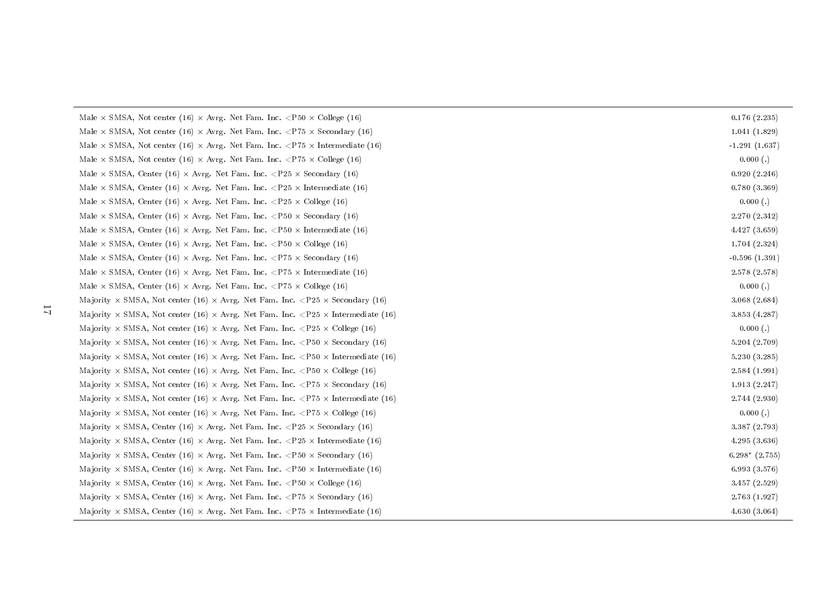Male  $\times$  SMSA, Not center (16)  $\times$  Avrg. Net Fam. Inc.  $\langle$ P50  $\times$  College (16) 0.176 (2.235) Male  $\times$  SMSA, Not center (16)  $\times$  Avrg. Net Fam. Inc.  $\langle$ P75  $\times$  Secondary (16) 1.041 (1.829) Male  $\times$  SMSA, Not center (16)  $\times$  Avrg. Net Fam. Inc.  $\langle$ P75  $\times$  Intermediate (16)  $-1.291$  (1.637) Male  $\times$  SMSA, Not center (16)  $\times$  Avrg. Net Fam. Inc.  $\langle$ P75  $\times$  College (16) 0.000 (.) Male  $\times$  SMSA, Center (16)  $\times$  Avrg. Net Fam. Inc.  $\langle P25 \times \text{Secondary (16)} \rangle$  0.920 (2.246) Male  $\times$  SMSA, Center (16)  $\times$  Avrg. Net Fam. Inc.  $\langle P25 \times \text{Intermediate (16)} \rangle$ Male  $\times$  SMSA, Center (16)  $\times$  Avrg. Net Fam. Inc.  $\langle P25 \times \text{College (16)}$  0.000 (.) Male  $\times$  SMSA, Center (16)  $\times$  Avrg. Net Fam. Inc.  $\lt P50 \times \text{Secondary (16)}$  2.270 (2.342) Male  $\times$  SMSA, Center (16)  $\times$  Avrg. Net Fam. Inc.  $\langle P50 \times I$ ntermediate (16)  $4.427$  (3.659) Male  $\times$  SMSA, Center (16)  $\times$  Avrg. Net Fam. Inc.  $\langle P50 \times \text{College (16)} \rangle$  1.704 (2.324) Male  $\times$  SMSA, Center (16)  $\times$  Avrg. Net Fam. Inc.  $\langle$ P75  $\times$  Secondary (16)  $-0.596$  (1.391) Male  $\times$  SMSA, Center (16)  $\times$  Avrg. Net Fam. Inc.  $\langle$ P75  $\times$  Intermediate (16) 2.578 (2.578) Male  $\times$  SMSA, Center (16)  $\times$  Avrg. Net Fam. Inc.  $\langle$ P75  $\times$  College (16) 0.000 (.) Majority  $\times$  SMSA, Not center (16)  $\times$  Avrg. Net Fam. Inc.  $\langle P25 \times \text{Secondary (16)}$  3.068 (2.684) Majority  $\times$  SMSA, Not center (16)  $\times$  Avrg. Net Fam. Inc.  $\langle P25 \times I$ ntermediate (16)  $\qquad \qquad 3.853$  (4.287) Majority  $\times$  SMSA, Not center (16)  $\times$  Avrg. Net Fam. Inc.  $\langle$ P25  $\times$  College (16) 0.000 (.) Majority  $\times$  SMSA, Not center (16)  $\times$  Avrg. Net Fam. Inc.  $\langle P50 \times \text{Secondary (16)} \rangle$  5.204 (2.709) Majority  $\times$  SMSA, Not center (16)  $\times$  Avrg. Net Fam. Inc.  $\langle P50 \times I$ ntermediate (16)  $5.230$  (3.285) Majority  $\times$  SMSA, Not center (16)  $\times$  Avrg. Net Fam. Inc.  $\langle$ P50  $\times$  College (16) 2.584 (1.991) Majority  $\times$  SMSA, Not center (16)  $\times$  Avrg. Net Fam. Inc.  $\langle$ P75  $\times$  Secondary (16) 1.913 (2.247) Majority  $\times$  SMSA, Not center (16)  $\times$  Avrg. Net Fam. Inc.  $\langle$ P75  $\times$  Intermediate (16) 2.744 (2.930) Majority  $\times$  SMSA, Not center (16)  $\times$  Avrg. Net Fam. Inc.  $\langle$ P75  $\times$  College (16) 0.000 (.) Majority  $\times$  SMSA, Center (16)  $\times$  Avrg. Net Fam. Inc.  $\langle P25 \times \text{Secondary (16)} \rangle$  3.387 (2.793) Majority  $\times$  SMSA, Center (16)  $\times$  Avrg. Net Fam. Inc.  $\langle P25 \times I$ ntermediate (16)  $4.295$  (3.636) Majority × SMSA, Center (16) × Avrg. Net Fam. Inc. <P50 × Secondary (16) 6.298\* (2.755) Majority  $\times$  SMSA, Center (16)  $\times$  Avrg. Net Fam. Inc.  $\langle P50 \times I$ ntermediate (16) 6.993 (3.576) Majority  $\times$  SMSA, Center (16)  $\times$  Avrg. Net Fam. Inc.  $\langle P50 \times \text{ College (16)} \rangle$ Majority  $\times$  SMSA, Center (16)  $\times$  Avrg. Net Fam. Inc.  $\langle$ P75  $\times$  Secondary (16) 2.763 (1.927) Majority  $\times$  SMSA, Center (16)  $\times$  Avrg. Net Fam. Inc.  $\langle$ P75  $\times$  Intermediate (16) 4.630 (3.064)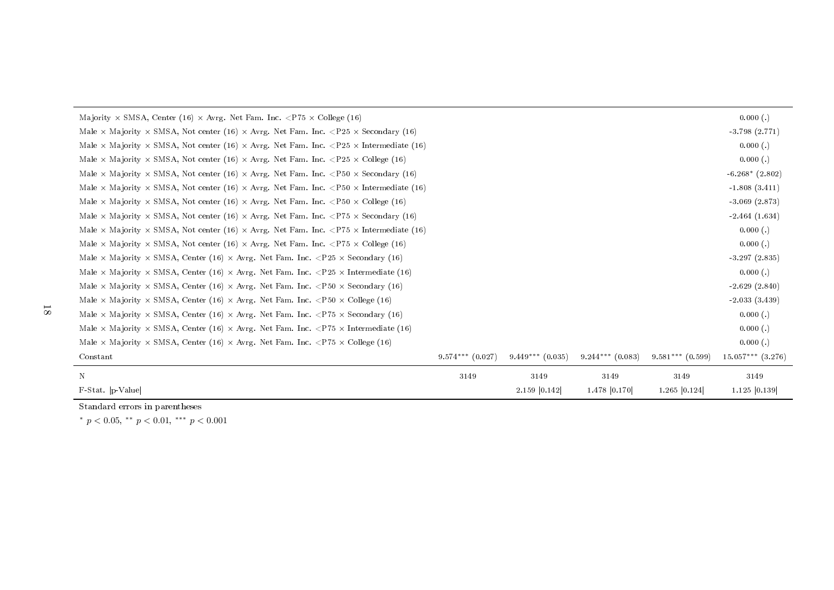| Majority $\times$ SMSA, Center (16) $\times$ Avrg. Net Fam. Inc. $\langle$ P75 $\times$ College (16)                                  |                      |                    |                    |                    | 0.000(.)              |
|---------------------------------------------------------------------------------------------------------------------------------------|----------------------|--------------------|--------------------|--------------------|-----------------------|
| Male $\times$ Majority $\times$ SMSA, Not center (16) $\times$ Avrg. Net Fam. Inc. $\langle P25 \times \text{Secondary (16)} \rangle$ |                      |                    |                    |                    | $-3.798(2.771)$       |
| Male $\times$ Majority $\times$ SMSA, Not center (16) $\times$ Avrg. Net Fam. Inc. $\langle$ P25 $\times$ Intermediate (16)           |                      |                    |                    |                    | 0.000(.)              |
| Male $\times$ Majority $\times$ SMSA, Not center (16) $\times$ Avrg. Net Fam. Inc. $\langle P25 \times \text{Collect}(16) \rangle$    |                      |                    |                    |                    | 0.000(.)              |
| Male $\times$ Majority $\times$ SMSA, Not center (16) $\times$ Avrg. Net Fam. Inc. <p50 <math="">\times Secondary (16)</p50>          |                      |                    |                    |                    | $-6.268*$ $(2.802)$   |
| Male $\times$ Majority $\times$ SMSA, Not center (16) $\times$ Avrg. Net Fam. Inc. $\lt P50 \times$ Intermediate (16)                 |                      |                    |                    |                    | $-1.808(3.411)$       |
| Male $\times$ Majority $\times$ SMSA, Not center (16) $\times$ Avrg. Net Fam. Inc. $\langle P50 \times \text{Collect (16)} \rangle$   |                      |                    |                    |                    | $-3.069(2.873)$       |
| Male $\times$ Majority $\times$ SMSA, Not center (16) $\times$ Avrg. Net Fam. Inc. <p75 <math="">\times Secondary (16)</p75>          |                      |                    |                    |                    | $-2.464(1.634)$       |
| Male $\times$ Majority $\times$ SMSA, Not center (16) $\times$ Avrg. Net Fam. Inc. $\langle$ P75 $\times$ Intermediate (16)           |                      |                    |                    |                    | 0.000(.)              |
| Male $\times$ Majority $\times$ SMSA, Not center (16) $\times$ Avrg. Net Fam. Inc. $\langle$ P75 $\times$ College (16)                |                      |                    |                    |                    | 0.000(.)              |
| Male $\times$ Majority $\times$ SMSA, Center (16) $\times$ Avrg. Net Fam. Inc. $\langle P25 \times$ Secondary (16)                    |                      |                    |                    |                    | $-3.297(2.835)$       |
| Male $\times$ Majority $\times$ SMSA, Center (16) $\times$ Avrg. Net Fam. Inc. $\langle P25 \times \text{Intermediate (16)} \rangle$  |                      |                    |                    |                    | 0.000(.)              |
| Male $\times$ Majority $\times$ SMSA, Center (16) $\times$ Avrg. Net Fam. Inc. <p50 <math="">\times Secondary (16)</p50>              |                      |                    |                    |                    | $-2.629(2.840)$       |
| Male $\times$ Majority $\times$ SMSA, Center (16) $\times$ Avrg. Net Fam. Inc. $\langle$ P50 $\times$ College (16)                    |                      |                    |                    |                    | $-2.033(3.439)$       |
| Male $\times$ Majority $\times$ SMSA, Center (16) $\times$ Avrg. Net Fam. Inc. $\langle$ P75 $\times$ Secondary (16)                  |                      |                    |                    |                    | 0.000(.)              |
| Male $\times$ Majority $\times$ SMSA, Center (16) $\times$ Avrg. Net Fam. Inc. $\langle$ P75 $\times$ Intermediate (16)               |                      |                    |                    |                    | 0.000(.)              |
| Male $\times$ Majority $\times$ SMSA, Center (16) $\times$ Avrg. Net Fam. Inc. $\langle$ P75 $\times$ College (16)                    |                      |                    |                    |                    | 0.000(.)              |
| Constant                                                                                                                              | $9.574***$ $(0.027)$ | $9.449***$ (0.035) | $9.244***$ (0.083) | $9.581***$ (0.599) | $15.057***$ $(3.276)$ |
| N                                                                                                                                     | 3149                 | 3149               | 3149               | 3149               | 3149                  |
| F-Stat.  p-Value                                                                                                                      |                      | 2.159 0.142        | 1.478 0.170        | 1.265 0.124        | 1.125   0.139         |

Standard errors in parentheses

\*  $p < 0.05$ , \*\*  $p < 0.01$ , \*\*\*  $p < 0.001$